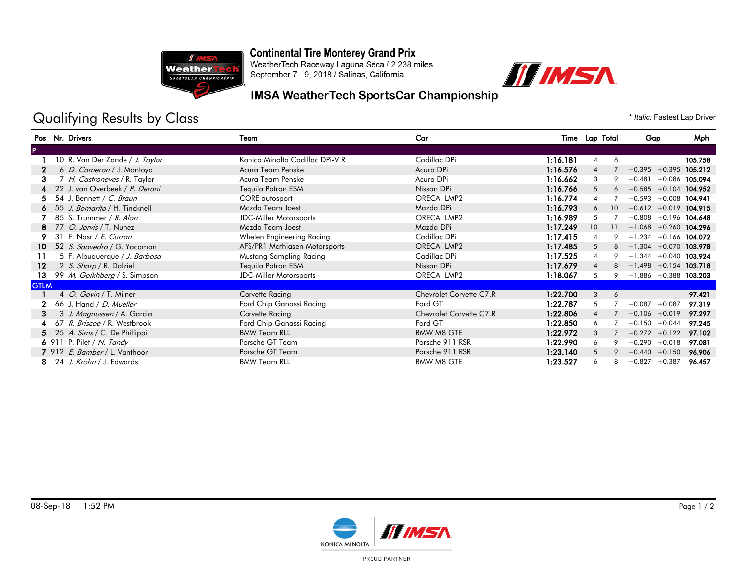

### **Continental Tire Monterey Grand Prix**

WeatherTech Raceway Laguna Seca / 2.238 miles September 7 - 9, 2018 / Salinas, California



#### **IMSA WeatherTech SportsCar Championship**

# Qualifying Results by Class  $\bullet$  *Italic: Fastest Lap Driver*

|             | Pos Nr. Drivers                      | Team                            | Car                     |          | Time Lap Total |    | Gap                       |                  | Mph              |
|-------------|--------------------------------------|---------------------------------|-------------------------|----------|----------------|----|---------------------------|------------------|------------------|
|             |                                      |                                 |                         |          |                |    |                           |                  |                  |
|             | 10 R. Van Der Zande / J. Taylor      | Konica Minolta Cadillac DPi-V.R | Cadillac DPi            | 1:16.181 | $\overline{4}$ | 8  |                           |                  | 105.758          |
| 2           | 6 D. Cameron / J. Montoya            | Acura Team Penske               | Acura DPi               | 1:16.576 |                |    | $+0.395$                  |                  | $+0.395$ 105.212 |
| З.          | 7 H. Castroneves / R. Taylor         | Acura Team Penske               | Acura DPi               | 1:16.662 | 3              |    | $+0.481$                  | $+0.086$ 105.094 |                  |
|             | 22 J. van Overbeek / P. Derani       | Tequila Patron ESM              | Nissan DPi              | 1:16.766 | 5              | 6  | $+0.585 + 0.104$ 104.952  |                  |                  |
|             | 54 J. Bennett / C. Braun             | <b>CORE</b> autosport           | ORECA LMP2              | 1:16.774 |                |    | $+0.593 + 0.008$ 104.941  |                  |                  |
|             | 6 55 J. Bomarito / H. Tincknell      | Mazda Team Joest                | Mazda DPi               | 1:16.793 |                | 10 | $+0.612 + 0.019$ 104.915  |                  |                  |
|             | 85 S. Trummer / R. Alon              | JDC-Miller Motorsports          | ORECA LMP2              | 1:16.989 | 5              |    | $+0.808 + 0.196$ 104.648  |                  |                  |
|             | 8 77 O. Jarvis / T. Nunez            | Mazda Team Joest                | Mazda DPi               | 1:17.249 | 10             |    | $+1.068 + 0.260$ 104.296  |                  |                  |
|             | 31 F. Nasr / E. Curran               | Whelen Engineering Racing       | Cadillac DPi            | 1:17.415 |                |    | $+1.234 + 0.166$ 104.072  |                  |                  |
| 10.         | 52 S. Saavedra / G. Yacaman          | AFS/PR1 Mathiasen Motorsports   | ORECA LMP2              | 1:17.485 | 5              |    | $+1.304 + 0.070$ 103.978  |                  |                  |
|             | 5 F. Albuquerque / J. Barbosa        | Mustang Sampling Racing         | Cadillac DPi            | 1:17.525 |                |    | $+1.344 + 0.040$ 103.924  |                  |                  |
| $12 \,$     | 2 S. Sharp / R. Dalziel              | Tequila Patron ESM              | Nissan DPi              | 1:17.679 |                |    | $+1.498$ $+0.154$ 103.718 |                  |                  |
| 13.         | 99 M. Goikhberg / S. Simpson         | <b>JDC-Miller Motorsports</b>   | ORECA LMP2              | 1:18.067 | 5              |    | $+1.886 + 0.388$ 103.203  |                  |                  |
| <b>GTLM</b> |                                      |                                 |                         |          |                |    |                           |                  |                  |
|             | 4 O. Gavin / T. Milner               | Corvette Racing                 | Chevrolet Corvette C7.R | 1:22.700 | 3              | 6  |                           |                  | 97.421           |
|             | 66 J. Hand / D. Mueller              | Ford Chip Ganassi Racing        | Ford GT                 | 1:22.787 | 5              |    | $+0.087$                  | $+0.087$         | 97.319           |
| з           | 3 J. Magnussen / A. Garcia           | Corvette Racing                 | Chevrolet Corvette C7.R | 1:22.806 |                |    | $+0.106 + 0.019$          |                  | 97.297           |
|             | 67 R. Briscoe / R. Westbrook         | Ford Chip Ganassi Racing        | Ford GT                 | 1:22.850 | 6              |    | $+0.150 + 0.044$          |                  | 97.245           |
|             | 5 25 A. Sims / C. De Phillippi       | <b>BMW Team RLL</b>             | <b>BMW M8 GTE</b>       | 1:22.972 | 3              |    | $+0.272 +0.122$           |                  | 97.102           |
|             | 6 911 P. Pilet / N. Tandy            | Porsche GT Team                 | Porsche 911 RSR         | 1:22.990 | 6              |    | $+0.290 + 0.018$          |                  | 97.081           |
|             | 7 912 <i>E. Bamber</i> / L. Vanthoor | Porsche GT Team                 | Porsche 911 RSR         | 1:23.140 | 5              |    | $+0.440 +0.150$           |                  | 96.906           |
|             | 8 24 J. Krohn / J. Edwards           | <b>BMW Team RLL</b>             | BMW M8 GTE              | 1:23.527 |                | 8  | $+0.827 +0.387$           |                  | 96.457           |